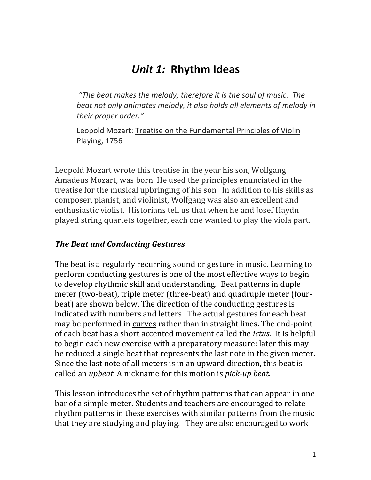# *Unit 1:* **Rhythm Ideas**

"The beat makes the melody; therefore it is the soul of music. The beat not only animates melody, it also holds all elements of melody in *their proper order."*

Leopold Mozart: Treatise on the Fundamental Principles of Violin Playing, 1756

Leopold Mozart wrote this treatise in the year his son, Wolfgang Amadeus Mozart, was born. He used the principles enunciated in the treatise for the musical upbringing of his son. In addition to his skills as composer, pianist, and violinist, Wolfgang was also an excellent and enthusiastic violist. Historians tell us that when he and Josef Haydn played string quartets together, each one wanted to play the viola part.

#### **The Beat and Conducting Gestures**

The beat is a regularly recurring sound or gesture in music. Learning to perform conducting gestures is one of the most effective ways to begin to develop rhythmic skill and understanding. Beat patterns in duple meter (two-beat), triple meter (three-beat) and quadruple meter (fourbeat) are shown below. The direction of the conducting gestures is indicated with numbers and letters. The actual gestures for each beat may be performed in curves rather than in straight lines. The end-point of each beat has a short accented movement called the *ictus*. It is helpful to begin each new exercise with a preparatory measure: later this may be reduced a single beat that represents the last note in the given meter. Since the last note of all meters is in an upward direction, this beat is called an *upbeat*. A nickname for this motion is *pick-up beat.* 

This lesson introduces the set of rhythm patterns that can appear in one bar of a simple meter. Students and teachers are encouraged to relate rhythm patterns in these exercises with similar patterns from the music that they are studying and playing. They are also encouraged to work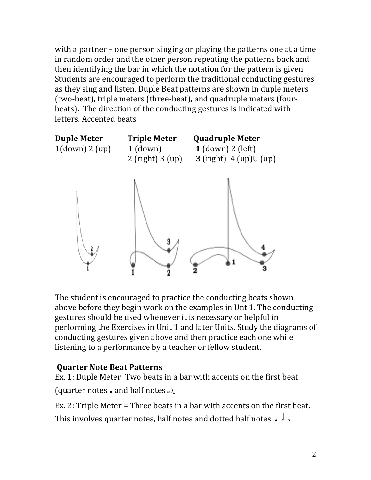with a partner – one person singing or playing the patterns one at a time in random order and the other person repeating the patterns back and then identifying the bar in which the notation for the pattern is given. Students are encouraged to perform the traditional conducting gestures as they sing and listen. Duple Beat patterns are shown in duple meters (two-beat), triple meters (three-beat), and quadruple meters (fourbeats). The direction of the conducting gestures is indicated with letters. Accented beats



The student is encouraged to practice the conducting beats shown above before they begin work on the examples in Unt 1. The conducting gestures should be used whenever it is necessary or helpful in performing the Exercises in Unit 1 and later Units. Study the diagrams of conducting gestures given above and then practice each one while listening to a performance by a teacher or fellow student.

# **Quarter Note Beat Patterns**

Ex. 1: Duple Meter: Two beats in a bar with accents on the first beat (quarter notes  $\int$  and half notes  $\partial$ ).

Ex. 2: Triple Meter = Three beats in a bar with accents on the first beat. This involves quarter notes, half notes and dotted half notes  $\int d\theta$ .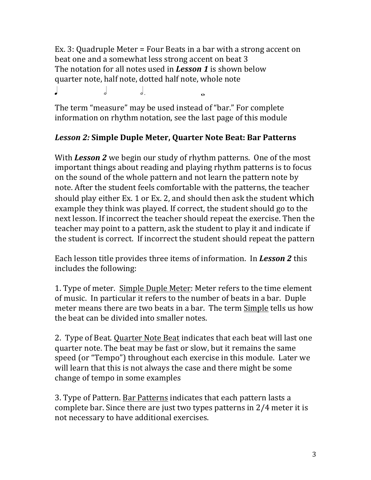Ex. 3: Quadruple Meter = Four Beats in a bar with a strong accent on beat one and a somewhat less strong accent on beat 3 The notation for all notes used in **Lesson 1** is shown below quarter note, half note, dotted half note, whole note q h h . w

The term "measure" may be used instead of "bar." For complete information on rhythm notation, see the last page of this module

# Lesson 2: Simple Duple Meter, Quarter Note Beat: Bar Patterns

With **Lesson 2** we begin our study of rhythm patterns. One of the most important things about reading and playing rhythm patterns is to focus on the sound of the whole pattern and not learn the pattern note by note. After the student feels comfortable with the patterns, the teacher should play either Ex. 1 or Ex. 2, and should then ask the student which example they think was played. If correct, the student should go to the next lesson. If incorrect the teacher should repeat the exercise. Then the teacher may point to a pattern, ask the student to play it and indicate if the student is correct. If incorrect the student should repeat the pattern

Each lesson title provides three items of information. In **Lesson 2** this includes the following:

1. Type of meter. Simple Duple Meter: Meter refers to the time element of music. In particular it refers to the number of beats in a bar. Duple meter means there are two beats in a bar. The term Simple tells us how the beat can be divided into smaller notes.

2. Type of Beat. Quarter Note Beat indicates that each beat will last one quarter note. The beat may be fast or slow, but it remains the same speed (or "Tempo") throughout each exercise in this module. Later we will learn that this is not always the case and there might be some change of tempo in some examples

3. Type of Pattern. Bar Patterns indicates that each pattern lasts a complete bar. Since there are just two types patterns in  $2/4$  meter it is not necessary to have additional exercises.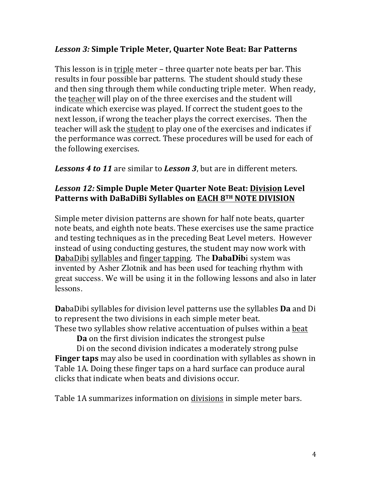#### *Lesson 3:* **Simple Triple Meter, Quarter Note Beat: Bar Patterns**

This lesson is in triple meter – three quarter note beats per bar. This results in four possible bar patterns. The student should study these and then sing through them while conducting triple meter. When ready, the teacher will play on of the three exercises and the student will indicate which exercise was played. If correct the student goes to the next lesson, if wrong the teacher plays the correct exercises. Then the teacher will ask the student to play one of the exercises and indicates if the performance was correct. These procedures will be used for each of the following exercises.

**Lessons 4 to 11** are similar to **Lesson 3**, but are in different meters.

### **Lesson 12: Simple Duple Meter Quarter Note Beat: Division Level Patterns with DaBaDiBi Syllables on EACH 8TH NOTE DIVISION**

Simple meter division patterns are shown for half note beats, quarter note beats, and eighth note beats. These exercises use the same practice and testing techniques as in the preceding Beat Level meters. However instead of using conducting gestures, the student may now work with **Da**baDibi syllables and finger tapping. The **DabaDib**i system was invented by Asher Zlotnik and has been used for teaching rhythm with great success. We will be using it in the following lessons and also in later lessons.

**Da**baDibi syllables for division level patterns use the syllables **Da** and Di to represent the two divisions in each simple meter beat. These two syllables show relative accentuation of pulses within a beat

**Da** on the first division indicates the strongest pulse

Di on the second division indicates a moderately strong pulse **Finger taps** may also be used in coordination with syllables as shown in Table 1A. Doing these finger taps on a hard surface can produce aural clicks that indicate when beats and divisions occur.

Table 1A summarizes information on divisions in simple meter bars.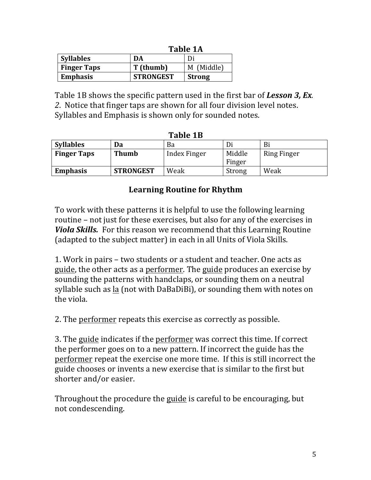|                    | <b>Table 1A</b>  |               |  |
|--------------------|------------------|---------------|--|
| <b>Syllables</b>   | DA               | Di            |  |
| <b>Finger Taps</b> | T (thumb)        | M (Middle)    |  |
| <b>Emphasis</b>    | <b>STRONGEST</b> | <b>Strong</b> |  |

Table 1B shows the specific pattern used in the first bar of **Lesson 3, Ex**.

2. Notice that finger taps are shown for all four division level notes.

Syllables and Emphasis is shown only for sounded notes.

| ташс 1.1           |                  |              |        |                    |  |
|--------------------|------------------|--------------|--------|--------------------|--|
| <b>Syllables</b>   | Da               | Ba           | Di     | Bi                 |  |
| <b>Finger Taps</b> | <b>Thumb</b>     | Index Finger | Middle | <b>Ring Finger</b> |  |
|                    |                  |              | Finger |                    |  |
| <b>Emphasis</b>    | <b>STRONGEST</b> | Weak         | Strong | Weak               |  |

#### $T_2$ **blo**  $1R$

#### **Learning Routine for Rhythm**

To work with these patterns it is helpful to use the following learning routine – not just for these exercises, but also for any of the exercises in *Viola Skills.* For this reason we recommend that this Learning Routine (adapted to the subject matter) in each in all Units of Viola Skills.

1. Work in pairs – two students or a student and teacher. One acts as guide, the other acts as a <u>performer</u>. The <u>guide</u> produces an exercise by sounding the patterns with handclaps, or sounding them on a neutral syllable such as <u>la</u> (not with DaBaDiBi), or sounding them with notes on the viola.

2. The performer repeats this exercise as correctly as possible.

3. The guide indicates if the performer was correct this time. If correct the performer goes on to a new pattern. If incorrect the guide has the performer repeat the exercise one more time. If this is still incorrect the guide chooses or invents a new exercise that is similar to the first but shorter and/or easier.

Throughout the procedure the guide is careful to be encouraging, but not condescending.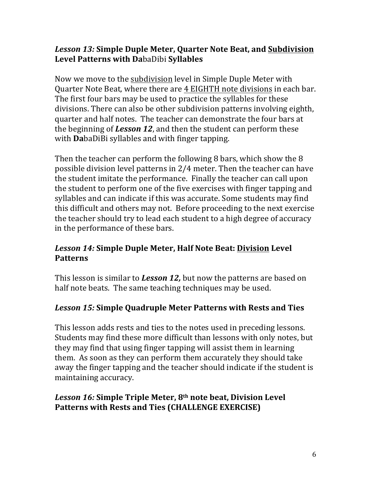### Lesson 13: Simple Duple Meter, Quarter Note Beat, and Subdivision **Level Patterns with Da**baDibi **Syllables**

Now we move to the subdivision level in Simple Duple Meter with Quarter Note Beat, where there are 4 EIGHTH note divisions in each bar. The first four bars may be used to practice the syllables for these divisions. There can also be other subdivision patterns involving eighth, quarter and half notes. The teacher can demonstrate the four bars at the beginning of **Lesson 12**, and then the student can perform these with **Da**baDiBi syllables and with finger tapping.

Then the teacher can perform the following 8 bars, which show the  $8$ possible division level patterns in  $2/4$  meter. Then the teacher can have the student imitate the performance. Finally the teacher can call upon the student to perform one of the five exercises with finger tapping and syllables and can indicate if this was accurate. Some students may find this difficult and others may not. Before proceeding to the next exercise the teacher should try to lead each student to a high degree of accuracy in the performance of these bars.

# *Lesson 14:* **Simple Duple Meter, Half Note Beat: Division Level Patterns**

This lesson is similar to **Lesson 12,** but now the patterns are based on half note beats. The same teaching techniques may be used.

# Lesson 15: Simple Quadruple Meter Patterns with Rests and Ties

This lesson adds rests and ties to the notes used in preceding lessons. Students may find these more difficult than lessons with only notes, but they may find that using finger tapping will assist them in learning them. As soon as they can perform them accurately they should take away the finger tapping and the teacher should indicate if the student is maintaining accuracy.

# Lesson 16: Simple Triple Meter, 8<sup>th</sup> note beat, Division Level **Patterns** with Rests and Ties (CHALLENGE EXERCISE)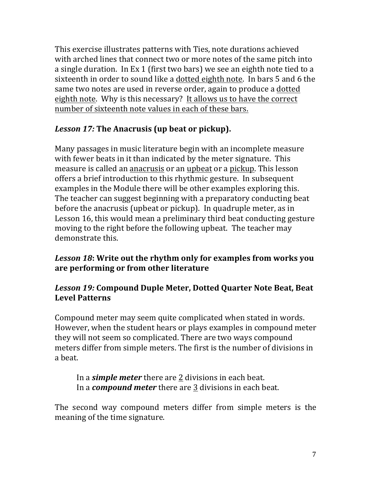This exercise illustrates patterns with Ties, note durations achieved with arched lines that connect two or more notes of the same pitch into a single duration. In Ex 1 (first two bars) we see an eighth note tied to a sixteenth in order to sound like a dotted eighth note. In bars 5 and 6 the same two notes are used in reverse order, again to produce a dotted eighth note. Why is this necessary? It allows us to have the correct number of sixteenth note values in each of these bars.

# Lesson 17: The Anacrusis (up beat or pickup).

Many passages in music literature begin with an incomplete measure with fewer beats in it than indicated by the meter signature. This measure is called an anacrusis or an upbeat or a pickup. This lesson offers a brief introduction to this rhythmic gesture. In subsequent examples in the Module there will be other examples exploring this. The teacher can suggest beginning with a preparatory conducting beat before the anacrusis (upbeat or pickup). In quadruple meter, as in Lesson 16, this would mean a preliminary third beat conducting gesture moving to the right before the following upbeat. The teacher may demonstrate this.

### Lesson 18: Write out the rhythm only for examples from works you are performing or from other literature

# Lesson 19: Compound Duple Meter, Dotted Quarter Note Beat, Beat **Level Patterns**

Compound meter may seem quite complicated when stated in words. However, when the student hears or plays examples in compound meter they will not seem so complicated. There are two ways compound meters differ from simple meters. The first is the number of divisions in a beat. 

#### In a *simple* meter there are 2 divisions in each beat. In a *compound meter* there are 3 divisions in each beat.

The second way compound meters differ from simple meters is the meaning of the time signature.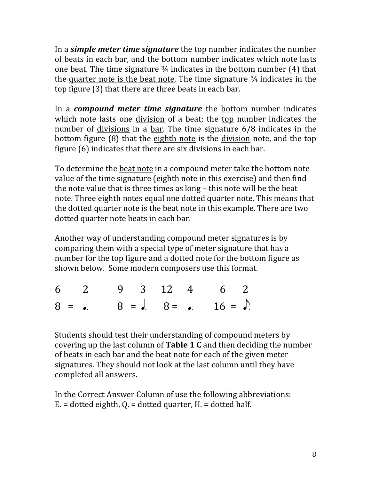In a *simple meter time signature* the top number indicates the number of beats in each bar, and the bottom number indicates which note lasts one beat. The time signature  $\frac{3}{4}$  indicates in the bottom number (4) that the quarter note is the beat note. The time signature  $\frac{3}{4}$  indicates in the top figure (3) that there are three beats in each bar.

In a *compound meter time signature* the **bottom** number indicates which note lasts one division of a beat; the top number indicates the number of divisions in a bar. The time signature  $6/8$  indicates in the bottom figure  $(8)$  that the eighth note is the division note, and the top figure  $(6)$  indicates that there are six divisions in each bar.

To determine the beat note in a compound meter take the bottom note value of the time signature (eighth note in this exercise) and then find the note value that is three times as long  $-$  this note will be the beat note. Three eighth notes equal one dotted quarter note. This means that the dotted quarter note is the beat note in this example. There are two dotted quarter note beats in each bar.

Another way of understanding compound meter signatures is by comparing them with a special type of meter signature that has a number for the top figure and a dotted note for the bottom figure as shown below. Some modern composers use this format.

|  | 6 2 9 3 12 4 6 2                     |  |
|--|--------------------------------------|--|
|  | $8 = 0.$ $8 = 0.$ $8 = 0.$ $16 = 0.$ |  |

Students should test their understanding of compound meters by covering up the last column of **Table 1 C** and then deciding the number of beats in each bar and the beat note for each of the given meter signatures. They should not look at the last column until they have completed all answers.

In the Correct Answer Column of use the following abbreviations:  $E =$  dotted eighth,  $Q =$  dotted quarter,  $H =$  dotted half.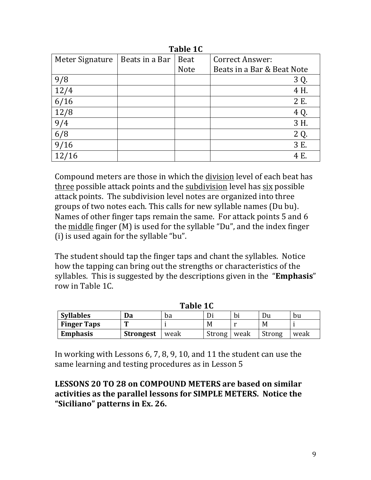| Tapic TC        |                |             |                            |  |  |
|-----------------|----------------|-------------|----------------------------|--|--|
| Meter Signature | Beats in a Bar | Beat        | <b>Correct Answer:</b>     |  |  |
|                 |                | <b>Note</b> | Beats in a Bar & Beat Note |  |  |
| 9/8             |                |             | 3 Q.                       |  |  |
| 12/4            |                |             | 4 H.                       |  |  |
| 6/16            |                |             | 2 E.                       |  |  |
| 12/8            |                |             | 4 Q.                       |  |  |
| 9/4             |                |             | 3 H.                       |  |  |
| 6/8             |                |             | 2 Q.                       |  |  |
| 9/16            |                |             | 3 E.                       |  |  |
|                 |                |             | 4 E.                       |  |  |

 $Table 1C$ 

Compound meters are those in which the division level of each beat has three possible attack points and the subdivision level has six possible attack points. The subdivision level notes are organized into three groups of two notes each. This calls for new syllable names (Du bu). Names of other finger taps remain the same. For attack points 5 and 6 the middle finger  $(M)$  is used for the syllable "Du", and the index finger (i) is used again for the syllable "bu".

The student should tap the finger taps and chant the syllables. Notice how the tapping can bring out the strengths or characteristics of the syllables. This is suggested by the descriptions given in the "**Emphasis**" row in Table 1C.

| TADIC TO           |                  |      |        |      |        |      |
|--------------------|------------------|------|--------|------|--------|------|
| <b>Syllables</b>   | Da               | ba   |        | bı   | Du     | bu   |
| <b>Finger Taps</b> | m                |      | M      |      | M      |      |
| <b>Emphasis</b>    | <b>Strongest</b> | weak | Strong | weak | Strong | weak |

 $Table 1C$ 

In working with Lessons 6, 7, 8, 9, 10, and 11 the student can use the same learning and testing procedures as in Lesson 5

LESSONS 20 TO 28 on COMPOUND METERS are based on similar activities as the parallel lessons for SIMPLE METERS. Notice the "Siciliano" patterns in Ex. 26.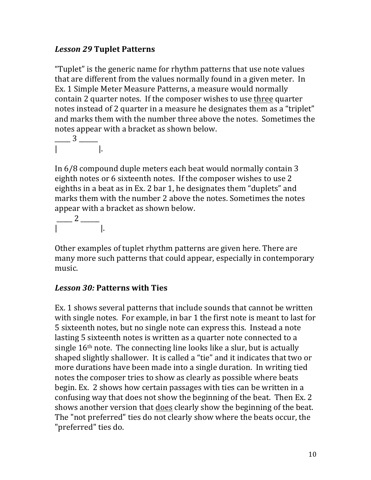# *Lesson 29* **Tuplet Patterns**

"Tuplet" is the generic name for rhythm patterns that use note values that are different from the values normally found in a given meter. In Ex. 1 Simple Meter Measure Patterns, a measure would normally contain 2 quarter notes. If the composer wishes to use three quarter notes instead of 2 quarter in a measure he designates them as a "triplet" and marks them with the number three above the notes. Sometimes the notes appear with a bracket as shown below.

 $\frac{3}{2}$  $\begin{bmatrix} 1 & 1 & 1 \\ 1 & 1 & 1 \end{bmatrix}$ 

In 6/8 compound duple meters each beat would normally contain 3 eighth notes or 6 sixteenth notes. If the composer wishes to use 2 eighths in a beat as in Ex. 2 bar 1, he designates them "duplets" and marks them with the number 2 above the notes. Sometimes the notes appear with a bracket as shown below.

 $\frac{2}{\sqrt{2}}$  $\begin{vmatrix} 1 & 1 & 1 \\ 1 & 1 & 1 \end{vmatrix}$ 

Other examples of tuplet rhythm patterns are given here. There are many more such patterns that could appear, especially in contemporary music. 

# *Lesson 30:* **Patterns with Ties**

Ex. 1 shows several patterns that include sounds that cannot be written with single notes. For example, in bar 1 the first note is meant to last for 5 sixteenth notes, but no single note can express this. Instead a note lasting 5 sixteenth notes is written as a quarter note connected to a single  $16<sup>th</sup>$  note. The connecting line looks like a slur, but is actually shaped slightly shallower. It is called a "tie" and it indicates that two or more durations have been made into a single duration. In writing tied notes the composer tries to show as clearly as possible where beats begin. Ex. 2 shows how certain passages with ties can be written in a confusing way that does not show the beginning of the beat. Then Ex. 2 shows another version that does clearly show the beginning of the beat. The "not preferred" ties do not clearly show where the beats occur, the "preferred" ties do.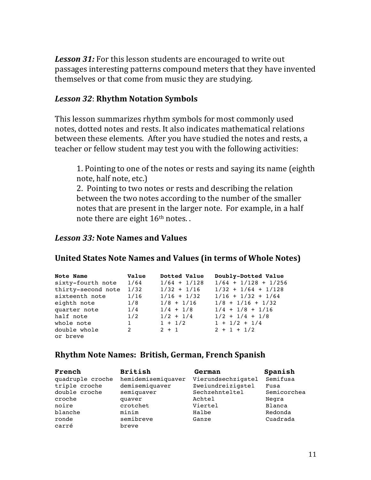**Lesson 31:** For this lesson students are encouraged to write out passages interesting patterns compound meters that they have invented themselves or that come from music they are studying.

#### *Lesson 32*: **Rhythm Notation Symbols**

This lesson summarizes rhythm symbols for most commonly used notes, dotted notes and rests. It also indicates mathematical relations between these elements. After you have studied the notes and rests, a teacher or fellow student may test you with the following activities:

1. Pointing to one of the notes or rests and saying its name (eighth) note, half note, etc.)

2. Pointing to two notes or rests and describing the relation between the two notes according to the number of the smaller notes that are present in the larger note. For example, in a half note there are eight  $16<sup>th</sup>$  notes..

#### *Lesson 33:* **Note Names and Values**

#### **United States Note Names and Values (in terms of Whole Notes)**

| Note Name          | Value        | Dotted Value   | Doubly-Dotted Value    |
|--------------------|--------------|----------------|------------------------|
| sixty-fourth note  | 1/64         | $1/64 + 1/128$ | $1/64 + 1/128 + 1/256$ |
| thirty-second note | 1/32         | $1/32 + 1/16$  | $1/32 + 1/64 + 1/128$  |
| sixteenth note     | 1/16         | $1/16 + 1/32$  | $1/16 + 1/32 + 1/64$   |
| eighth note        | 1/8          | $1/8 + 1/16$   | $1/8 + 1/16 + 1/32$    |
| quarter note       | 1/4          | $1/4$ + $1/8$  | $1/4$ + $1/8$ + $1/16$ |
| half note          | 1/2          | $1/2 + 1/4$    | $1/2 + 1/4 + 1/8$      |
| whole note         | $\mathbf{1}$ | $1 + 1/2$      | $1 + 1/2 + 1/4$        |
| double whole       | 2            | $2 + 1$        | $2 + 1 + 1/2$          |
| or breve           |              |                |                        |

#### **Rhythm Note Names: British, German, French Spanish**

| French           | <b>British</b>     | German             | Spanish     |
|------------------|--------------------|--------------------|-------------|
| quadruple croche | hemidemisemiquaver | Vierundsechzigstel | Semifusa    |
| triple croche    | demisemiquaver     | Zweiundreizigstel  | Fusa        |
| double croche    | semiquaver         | Sechzehnteltel     | Semicorchea |
| croche           | quaver             | Achtel             | Negra       |
| noire            | crotchet           | Viertel            | Blanca      |
| blanche          | minim              | Halbe              | Redonda     |
| ronde            | semibreve          | Ganze              | Cuadrada    |
| carré            | breve              |                    |             |